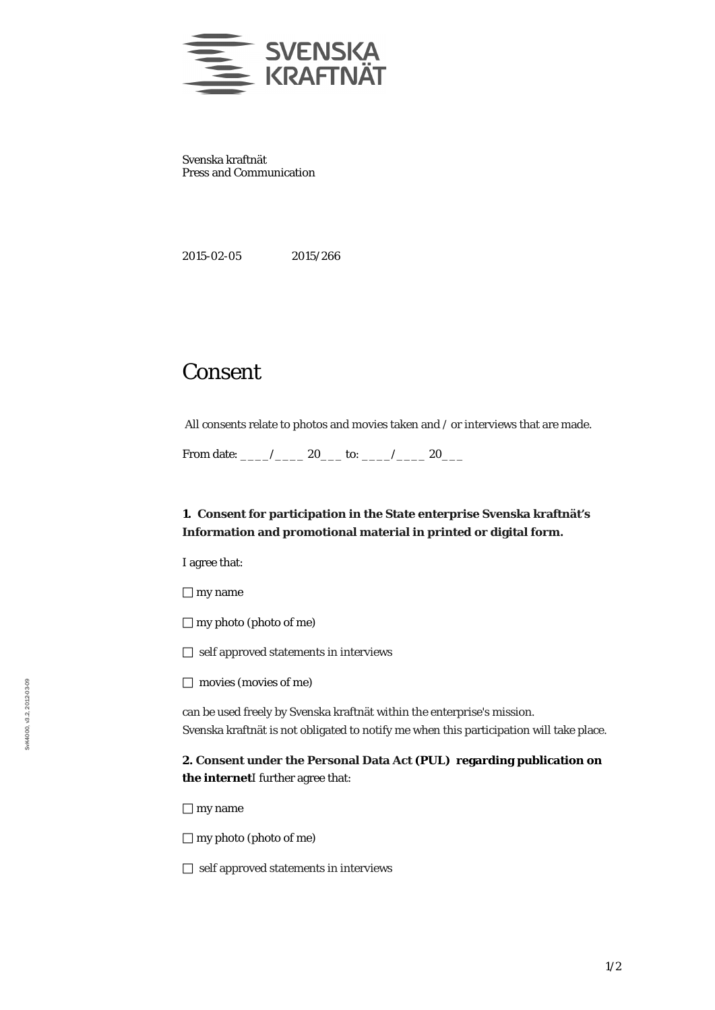

Svenska kraftnät Press and Communication

2015-02-05 2015/266

## Consent

All consents relate to photos and movies taken and / or interviews that are made.

From date: \_\_\_\_\_/\_\_\_\_\_ 20\_\_\_\_ to: \_\_\_\_\_/\_\_\_\_\_ 20\_\_\_\_

## **1. Consent for participation in the State enterprise Svenska kraftnät's Information and promotional material in printed or digital form.**

I agree that:

 $\Box$  my name

 $\Box$  my photo (photo of me)

 $\Box$  self approved statements in interviews

 $\Box$  movies (movies of me)

can be used freely by Svenska kraftnät within the enterprise's mission. Svenska kraftnät is not obligated to notify me when this participation will take place.

**2. Consent under the Personal Data Act (PUL) regarding publication on the internet**I further agree that:

 $\Box$  my name

 $\Box$  my photo (photo of me)

 $\Box$  self approved statements in interviews